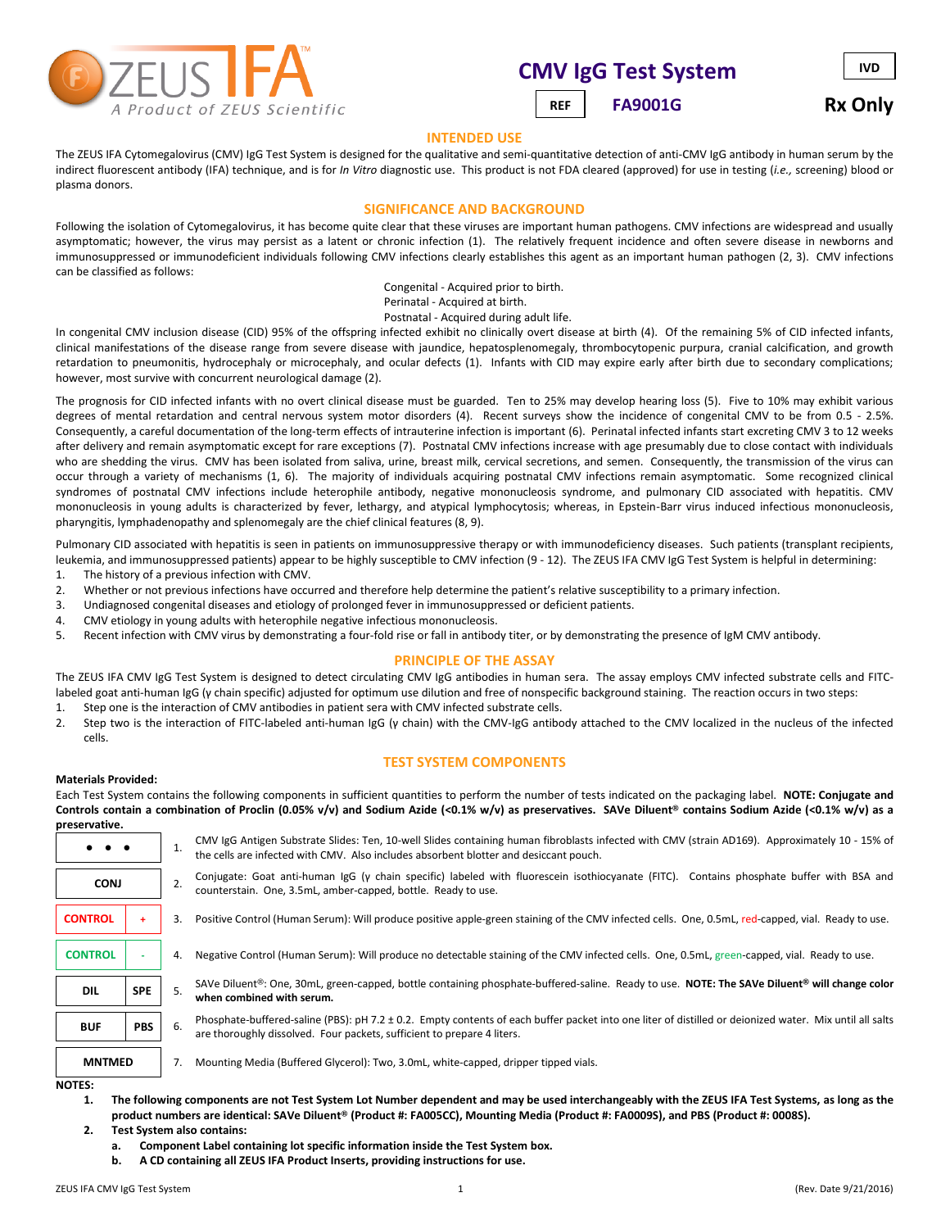

# **CMV IgG Test System**

 **FA9001G** REF | FA9001G Rx Only

**IVD**

### **INTENDED USE**

The ZEUS IFA Cytomegalovirus (CMV) IgG Test System is designed for the qualitative and semi-quantitative detection of anti-CMV IgG antibody in human serum by the indirect fluorescent antibody (IFA) technique, and is for *In Vitro* diagnostic use. This product is not FDA cleared (approved) for use in testing (*i.e.,* screening) blood or plasma donors.

#### **SIGNIFICANCE AND BACKGROUND**

Following the isolation of Cytomegalovirus, it has become quite clear that these viruses are important human pathogens. CMV infections are widespread and usually asymptomatic; however, the virus may persist as a latent or chronic infection (1). The relatively frequent incidence and often severe disease in newborns and immunosuppressed or immunodeficient individuals following CMV infections clearly establishes this agent as an important human pathogen (2, 3). CMV infections can be classified as follows:

> Congenital - Acquired prior to birth. Perinatal - Acquired at birth. Postnatal - Acquired during adult life.

In congenital CMV inclusion disease (CID) 95% of the offspring infected exhibit no clinically overt disease at birth (4). Of the remaining 5% of CID infected infants, clinical manifestations of the disease range from severe disease with jaundice, hepatosplenomegaly, thrombocytopenic purpura, cranial calcification, and growth retardation to pneumonitis, hydrocephaly or microcephaly, and ocular defects (1). Infants with CID may expire early after birth due to secondary complications; however, most survive with concurrent neurological damage (2).

The prognosis for CID infected infants with no overt clinical disease must be guarded. Ten to 25% may develop hearing loss (5). Five to 10% may exhibit various degrees of mental retardation and central nervous system motor disorders (4). Recent surveys show the incidence of congenital CMV to be from 0.5 - 2.5%. Consequently, a careful documentation of the long-term effects of intrauterine infection is important (6). Perinatal infected infants start excreting CMV 3 to 12 weeks after delivery and remain asymptomatic except for rare exceptions (7). Postnatal CMV infections increase with age presumably due to close contact with individuals who are shedding the virus. CMV has been isolated from saliva, urine, breast milk, cervical secretions, and semen. Consequently, the transmission of the virus can occur through a variety of mechanisms (1, 6). The majority of individuals acquiring postnatal CMV infections remain asymptomatic. Some recognized clinical syndromes of postnatal CMV infections include heterophile antibody, negative mononucleosis syndrome, and pulmonary CID associated with hepatitis. CMV mononucleosis in young adults is characterized by fever, lethargy, and atypical lymphocytosis; whereas, in Epstein-Barr virus induced infectious mononucleosis, pharyngitis, lymphadenopathy and splenomegaly are the chief clinical features (8, 9).

Pulmonary CID associated with hepatitis is seen in patients on immunosuppressive therapy or with immunodeficiency diseases. Such patients (transplant recipients, leukemia, and immunosuppressed patients) appear to be highly susceptible to CMV infection (9 - 12). The ZEUS IFA CMV IgG Test System is helpful in determining:

- 1. The history of a previous infection with CMV.
- 2. Whether or not previous infections have occurred and therefore help determine the patient's relative susceptibility to a primary infection.
- 3. Undiagnosed congenital diseases and etiology of prolonged fever in immunosuppressed or deficient patients.
- 4. CMV etiology in young adults with heterophile negative infectious mononucleosis.
- 5. Recent infection with CMV virus by demonstrating a four-fold rise or fall in antibody titer, or by demonstrating the presence of IgM CMV antibody.

#### **PRINCIPLE OF THE ASSAY**

The ZEUS IFA CMV IgG Test System is designed to detect circulating CMV IgG antibodies in human sera. The assay employs CMV infected substrate cells and FITClabeled goat anti-human IgG (γ chain specific) adjusted for optimum use dilution and free of nonspecific background staining. The reaction occurs in two steps:

- 1. Step one is the interaction of CMV antibodies in patient sera with CMV infected substrate cells.
- 2. Step two is the interaction of FITC-labeled anti-human IgG (γ chain) with the CMV-IgG antibody attached to the CMV localized in the nucleus of the infected cells.

### **TEST SYSTEM COMPONENTS**

#### **Materials Provided:**

Each Test System contains the following components in sufficient quantities to perform the number of tests indicated on the packaging label. **NOTE: Conjugate and Controls contain a combination of Proclin (0.05% v/v) and Sodium Azide (<0.1% w/v) as preservatives. SAVe Diluent® contains Sodium Azide (<0.1% w/v) as a preservative.**

|                |            | 1. | CMV IgG Antigen Substrate Slides: Ten, 10-well Slides containing human fibroblasts infected with CMV (strain AD169). Approximately 10 - 15% of<br>the cells are infected with CMV. Also includes absorbent blotter and desiccant pouch. |
|----------------|------------|----|-----------------------------------------------------------------------------------------------------------------------------------------------------------------------------------------------------------------------------------------|
| <b>CONJ</b>    |            | 2. | Conjugate: Goat anti-human IgG (y chain specific) labeled with fluorescein isothiocyanate (FITC). Contains phosphate buffer with BSA and<br>counterstain. One, 3.5mL, amber-capped, bottle. Ready to use.                               |
| <b>CONTROL</b> |            | 3. | Positive Control (Human Serum): Will produce positive apple-green staining of the CMV infected cells. One, 0.5mL, red-capped, vial. Ready to use.                                                                                       |
| <b>CONTROL</b> |            | 4. | Negative Control (Human Serum): Will produce no detectable staining of the CMV infected cells. One, 0.5mL, green-capped, vial. Ready to use.                                                                                            |
| <b>DIL</b>     | <b>SPE</b> | 5. | SAVe Diluent®: One, 30mL, green-capped, bottle containing phosphate-buffered-saline. Ready to use. NOTE: The SAVe Diluent® will change color<br>when combined with serum.                                                               |
| <b>BUF</b>     | <b>PBS</b> | 6. | Phosphate-buffered-saline (PBS): pH 7.2 ± 0.2. Empty contents of each buffer packet into one liter of distilled or deionized water. Mix until all salts<br>are thoroughly dissolved. Four packets, sufficient to prepare 4 liters.      |
| <b>MNTMED</b>  |            | 7. | Mounting Media (Buffered Glycerol): Two, 3.0mL, white-capped, dripper tipped vials.                                                                                                                                                     |
| <b>NOTES:</b>  |            |    | the season of the contract of the contract of the contract of the contract of the contract of the contract of                                                                                                                           |

**1. The following components are not Test System Lot Number dependent and may be used interchangeably with the ZEUS IFA Test Systems, as long as the product numbers are identical: SAVe Diluent® (Product #: FA005CC), Mounting Media (Product #: FA0009S), and PBS (Product #: 0008S). 2. Test System also contains:**

- **a. Component Label containing lot specific information inside the Test System box.**
- **b. A CD containing all ZEUS IFA Product Inserts, providing instructions for use.**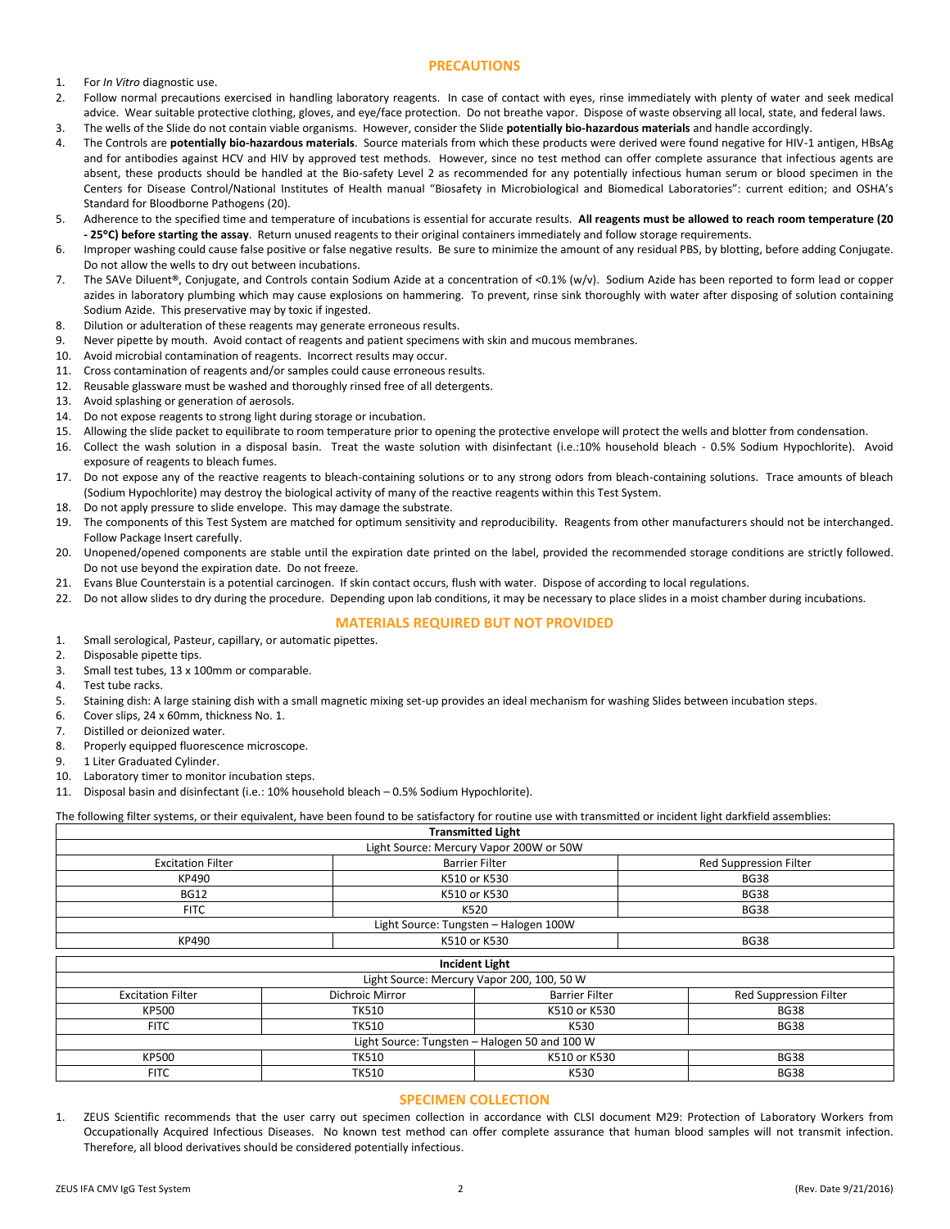### **PRECAUTIONS**

- 1. For *In Vitro* diagnostic use.
- 2. Follow normal precautions exercised in handling laboratory reagents. In case of contact with eyes, rinse immediately with plenty of water and seek medical advice. Wear suitable protective clothing, gloves, and eye/face protection. Do not breathe vapor. Dispose of waste observing all local, state, and federal laws.
- 3. The wells of the Slide do not contain viable organisms. However, consider the Slide **potentially bio-hazardous materials** and handle accordingly.
- 4. The Controls are **potentially bio-hazardous materials**. Source materials from which these products were derived were found negative for HIV-1 antigen, HBsAg and for antibodies against HCV and HIV by approved test methods. However, since no test method can offer complete assurance that infectious agents are absent, these products should be handled at the Bio-safety Level 2 as recommended for any potentially infectious human serum or blood specimen in the Centers for Disease Control/National Institutes of Health manual "Biosafety in Microbiological and Biomedical Laboratories": current edition; and OSHA's Standard for Bloodborne Pathogens (20).
- 5. Adherence to the specified time and temperature of incubations is essential for accurate results. **All reagents must be allowed to reach room temperature (20 - 25C) before starting the assay**. Return unused reagents to their original containers immediately and follow storage requirements.
- 6. Improper washing could cause false positive or false negative results. Be sure to minimize the amount of any residual PBS, by blotting, before adding Conjugate. Do not allow the wells to dry out between incubations.
- 7. The SAVe Diluent**®**, Conjugate, and Controls contain Sodium Azide at a concentration of <0.1% (w/v). Sodium Azide has been reported to form lead or copper azides in laboratory plumbing which may cause explosions on hammering. To prevent, rinse sink thoroughly with water after disposing of solution containing Sodium Azide. This preservative may by toxic if ingested.
- 8. Dilution or adulteration of these reagents may generate erroneous results.
- 9. Never pipette by mouth. Avoid contact of reagents and patient specimens with skin and mucous membranes.
- 10. Avoid microbial contamination of reagents. Incorrect results may occur.
- 11. Cross contamination of reagents and/or samples could cause erroneous results.
- 12. Reusable glassware must be washed and thoroughly rinsed free of all detergents.
- 13. Avoid splashing or generation of aerosols.
- 14. Do not expose reagents to strong light during storage or incubation.
- 15. Allowing the slide packet to equilibrate to room temperature prior to opening the protective envelope will protect the wells and blotter from condensation.
- 16. Collect the wash solution in a disposal basin. Treat the waste solution with disinfectant (i.e.:10% household bleach 0.5% Sodium Hypochlorite). Avoid exposure of reagents to bleach fumes.
- 17. Do not expose any of the reactive reagents to bleach-containing solutions or to any strong odors from bleach-containing solutions. Trace amounts of bleach (Sodium Hypochlorite) may destroy the biological activity of many of the reactive reagents within this Test System.
- 18. Do not apply pressure to slide envelope. This may damage the substrate.
- 19. The components of this Test System are matched for optimum sensitivity and reproducibility. Reagents from other manufacturers should not be interchanged. Follow Package Insert carefully.
- 20. Unopened/opened components are stable until the expiration date printed on the label, provided the recommended storage conditions are strictly followed. Do not use beyond the expiration date. Do not freeze.
- 21. Evans Blue Counterstain is a potential carcinogen. If skin contact occurs, flush with water. Dispose of according to local regulations.
- 22. Do not allow slides to dry during the procedure. Depending upon lab conditions, it may be necessary to place slides in a moist chamber during incubations.

#### **MATERIALS REQUIRED BUT NOT PROVIDED**

- 1. Small serological, Pasteur, capillary, or automatic pipettes.
- 2. Disposable pipette tips.
- 3. Small test tubes, 13 x 100mm or comparable.
- 4. Test tube racks.
- 5. Staining dish: A large staining dish with a small magnetic mixing set-up provides an ideal mechanism for washing Slides between incubation steps.
- 6. Cover slips, 24 x 60mm, thickness No. 1.
- 7. Distilled or deionized water.
- 8. Properly equipped fluorescence microscope.
- 9. 1 Liter Graduated Cylinder.
- 10. Laboratory timer to monitor incubation steps.
- 11. Disposal basin and disinfectant (i.e.: 10% household bleach 0.5% Sodium Hypochlorite).

The following filter systems, or their equivalent, have been found to be satisfactory for routine use with transmitted or incident light darkfield assemblies:

| <b>Transmitted Light</b>                |                       |                        |  |  |  |
|-----------------------------------------|-----------------------|------------------------|--|--|--|
| Light Source: Mercury Vapor 200W or 50W |                       |                        |  |  |  |
| <b>Excitation Filter</b>                | <b>Barrier Filter</b> | Red Suppression Filter |  |  |  |
| KP490                                   | K510 or K530          | <b>BG38</b>            |  |  |  |
| <b>BG12</b>                             | K510 or K530          | <b>BG38</b>            |  |  |  |
| <b>FITC</b>                             | K520                  | <b>BG38</b>            |  |  |  |
| Light Source: Tungsten - Halogen 100W   |                       |                        |  |  |  |
| KP490                                   | K510 or K530          | <b>BG38</b>            |  |  |  |
|                                         |                       |                        |  |  |  |

| <b>Incident Light</b>                         |                        |                       |                        |  |  |  |
|-----------------------------------------------|------------------------|-----------------------|------------------------|--|--|--|
| Light Source: Mercury Vapor 200, 100, 50 W    |                        |                       |                        |  |  |  |
| <b>Excitation Filter</b>                      | <b>Dichroic Mirror</b> | <b>Barrier Filter</b> | Red Suppression Filter |  |  |  |
| <b>KP500</b>                                  | TK510                  | K510 or K530          | <b>BG38</b>            |  |  |  |
| <b>FITC</b>                                   | TK510                  | K530                  | <b>BG38</b>            |  |  |  |
| Light Source: Tungsten - Halogen 50 and 100 W |                        |                       |                        |  |  |  |
| <b>KP500</b>                                  | <b>TK510</b>           | K510 or K530          | <b>BG38</b>            |  |  |  |
| <b>FITC</b>                                   | <b>TK510</b>           | K530                  | <b>BG38</b>            |  |  |  |

# **SPECIMEN COLLECTION**

1. ZEUS Scientific recommends that the user carry out specimen collection in accordance with CLSI document M29: Protection of Laboratory Workers from Occupationally Acquired Infectious Diseases. No known test method can offer complete assurance that human blood samples will not transmit infection. Therefore, all blood derivatives should be considered potentially infectious.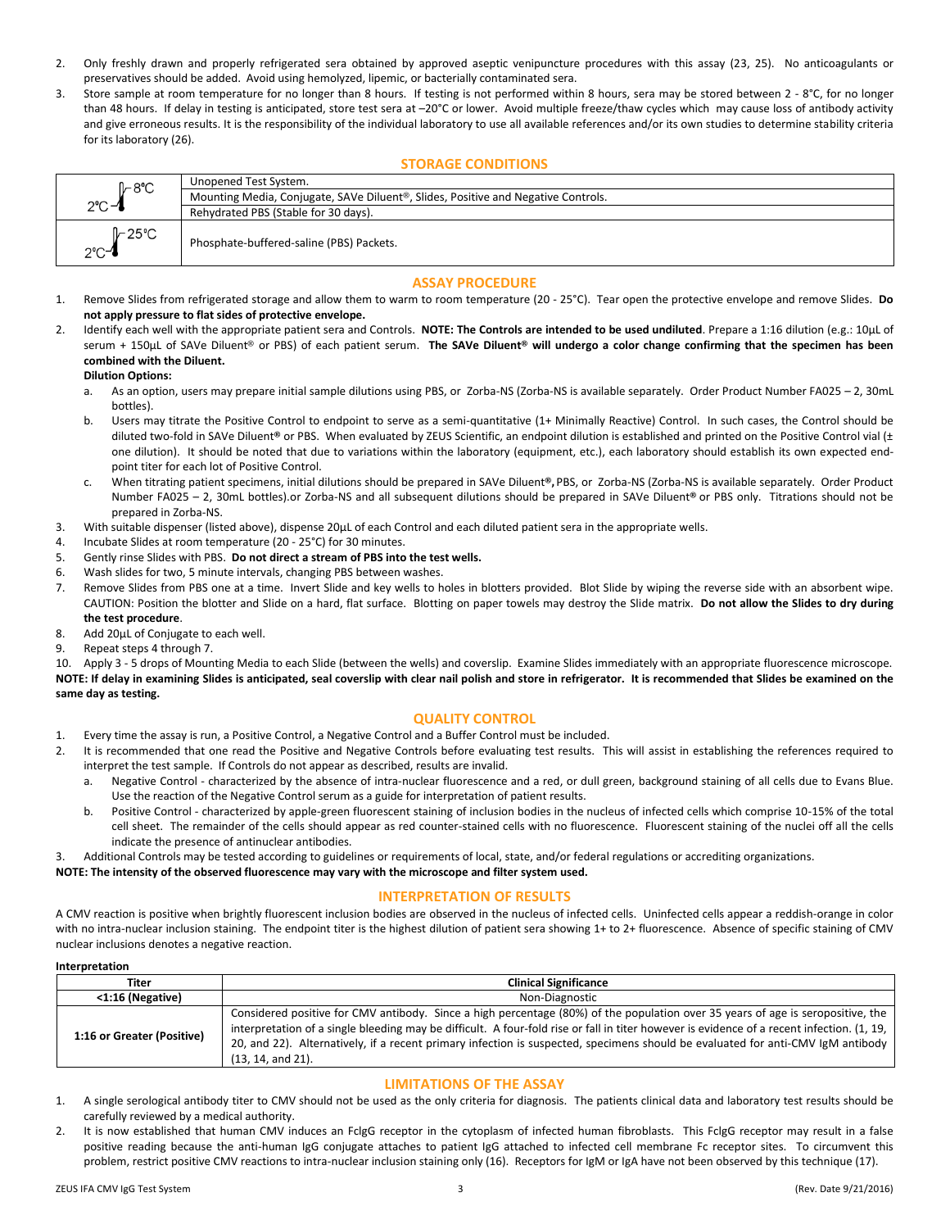- 2. Only freshly drawn and properly refrigerated sera obtained by approved aseptic venipuncture procedures with this assay (23, 25). No anticoagulants or preservatives should be added. Avoid using hemolyzed, lipemic, or bacterially contaminated sera.
- 3. Store sample at room temperature for no longer than 8 hours. If testing is not performed within 8 hours, sera may be stored between 2 8°C, for no longer than 48 hours. If delay in testing is anticipated, store test sera at -20°C or lower. Avoid multiple freeze/thaw cycles which may cause loss of antibody activity and give erroneous results. It is the responsibility of the individual laboratory to use all available references and/or its own studies to determine stability criteria for its laboratory (26).

#### **STORAGE CONDITIONS**

| <b>I⊢8°C</b>                 | Unopened Test System.                                                                          |
|------------------------------|------------------------------------------------------------------------------------------------|
|                              | Mounting Media, Conjugate, SAVe Diluent <sup>®</sup> , Slides, Positive and Negative Controls. |
| $2^{\circ}$ C $-$            | Rehydrated PBS (Stable for 30 days).                                                           |
| Il~25°C<br>$2^{\circ}$ C $-$ | Phosphate-buffered-saline (PBS) Packets.                                                       |

#### **ASSAY PROCEDURE**

- 1. Remove Slides from refrigerated storage and allow them to warm to room temperature (20 25°C). Tear open the protective envelope and remove Slides. **Do not apply pressure to flat sides of protective envelope.**
- 2. Identify each well with the appropriate patient sera and Controls. **NOTE: The Controls are intended to be used undiluted**. Prepare a 1:16 dilution (e.g.: 10µL of serum + 150µL of SAVe Diluent® or PBS) of each patient serum. **The SAVe Diluent® will undergo a color change confirming that the specimen has been combined with the Diluent.**

#### **Dilution Options:**

- a. As an option, users may prepare initial sample dilutions using PBS, or Zorba-NS (Zorba-NS is available separately. Order Product Number FA025 2, 30mL bottles).
- b. Users may titrate the Positive Control to endpoint to serve as a semi-quantitative (1+ Minimally Reactive) Control. In such cases, the Control should be diluted two-fold in SAVe Diluent**®** or PBS. When evaluated by ZEUS Scientific, an endpoint dilution is established and printed on the Positive Control vial (± one dilution). It should be noted that due to variations within the laboratory (equipment, etc.), each laboratory should establish its own expected endpoint titer for each lot of Positive Control.
- c. When titrating patient specimens, initial dilutions should be prepared in SAVe Diluent**®,** PBS, or Zorba-NS (Zorba-NS is available separately. Order Product Number FA025 – 2, 30mL bottles).or Zorba-NS and all subsequent dilutions should be prepared in SAVe Diluent**®** or PBS only. Titrations should not be prepared in Zorba-NS.
- 3. With suitable dispenser (listed above), dispense 20µL of each Control and each diluted patient sera in the appropriate wells.
- 4. Incubate Slides at room temperature (20 25°C) for 30 minutes.
- 5. Gently rinse Slides with PBS. **Do not direct a stream of PBS into the test wells.**
- 6. Wash slides for two, 5 minute intervals, changing PBS between washes.
- 7. Remove Slides from PBS one at a time. Invert Slide and key wells to holes in blotters provided. Blot Slide by wiping the reverse side with an absorbent wipe. CAUTION: Position the blotter and Slide on a hard, flat surface. Blotting on paper towels may destroy the Slide matrix. **Do not allow the Slides to dry during the test procedure**.
- 8. Add 20µL of Conjugate to each well.
- 9. Repeat steps 4 through 7.

10. Apply 3 - 5 drops of Mounting Media to each Slide (between the wells) and coverslip. Examine Slides immediately with an appropriate fluorescence microscope. **NOTE: If delay in examining Slides is anticipated, seal coverslip with clear nail polish and store in refrigerator. It is recommended that Slides be examined on the same day as testing.**

# **QUALITY CONTROL**

- 1. Every time the assay is run, a Positive Control, a Negative Control and a Buffer Control must be included.
- 2. It is recommended that one read the Positive and Negative Controls before evaluating test results. This will assist in establishing the references required to interpret the test sample. If Controls do not appear as described, results are invalid.
	- Negative Control characterized by the absence of intra-nuclear fluorescence and a red, or dull green, background staining of all cells due to Evans Blue. Use the reaction of the Negative Control serum as a guide for interpretation of patient results.
	- b. Positive Control characterized by apple-green fluorescent staining of inclusion bodies in the nucleus of infected cells which comprise 10-15% of the total cell sheet. The remainder of the cells should appear as red counter-stained cells with no fluorescence. Fluorescent staining of the nuclei off all the cells indicate the presence of antinuclear antibodies.
- 3. Additional Controls may be tested according to guidelines or requirements of local, state, and/or federal regulations or accrediting organizations.

**NOTE: The intensity of the observed fluorescence may vary with the microscope and filter system used.**

#### **INTERPRETATION OF RESULTS**

A CMV reaction is positive when brightly fluorescent inclusion bodies are observed in the nucleus of infected cells. Uninfected cells appear a reddish-orange in color with no intra-nuclear inclusion staining. The endpoint titer is the highest dilution of patient sera showing 1+ to 2+ fluorescence. Absence of specific staining of CMV nuclear inclusions denotes a negative reaction.

#### **Interpretation**

| Titer                      | <b>Clinical Significance</b>                                                                                                                                                                                                                                                                                                                                                                                                          |  |  |  |
|----------------------------|---------------------------------------------------------------------------------------------------------------------------------------------------------------------------------------------------------------------------------------------------------------------------------------------------------------------------------------------------------------------------------------------------------------------------------------|--|--|--|
| <1:16 (Negative)           | Non-Diagnostic                                                                                                                                                                                                                                                                                                                                                                                                                        |  |  |  |
| 1:16 or Greater (Positive) | Considered positive for CMV antibody. Since a high percentage (80%) of the population over 35 years of age is seropositive, the<br>interpretation of a single bleeding may be difficult. A four-fold rise or fall in titer however is evidence of a recent infection. (1, 19,<br>20, and 22). Alternatively, if a recent primary infection is suspected, specimens should be evaluated for anti-CMV IgM antibody<br>(13, 14, and 21). |  |  |  |

# **LIMITATIONS OF THE ASSAY**

- 1. A single serological antibody titer to CMV should not be used as the only criteria for diagnosis. The patients clinical data and laboratory test results should be carefully reviewed by a medical authority.
- 2. It is now established that human CMV induces an FclgG receptor in the cytoplasm of infected human fibroblasts. This FclgG receptor may result in a false positive reading because the anti-human IgG conjugate attaches to patient IgG attached to infected cell membrane Fc receptor sites. To circumvent this problem, restrict positive CMV reactions to intra-nuclear inclusion staining only (16). Receptors for IgM or IgA have not been observed by this technique (17).